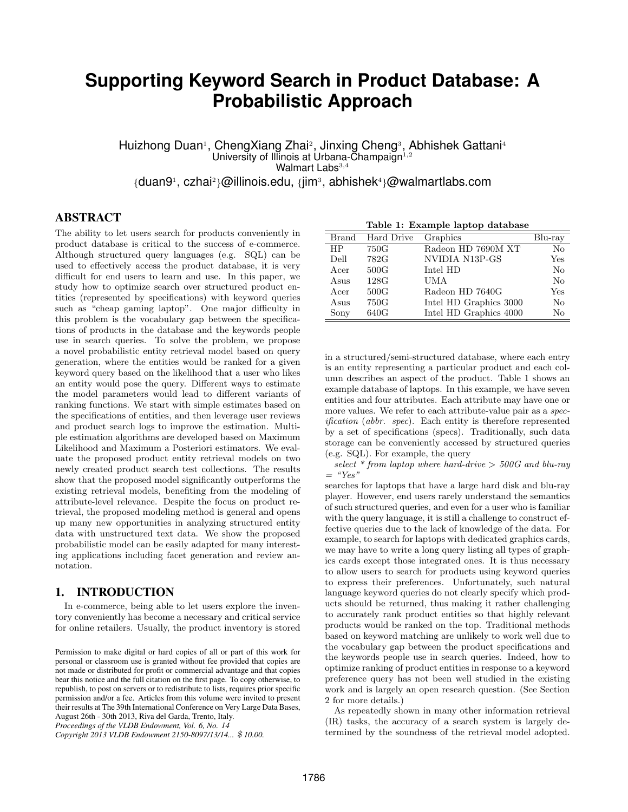# **Supporting Keyword Search in Product Database: A Probabilistic Approach**

Huizhong Duan<sup>1</sup>, ChengXiang Zhai<sup>2</sup>, Jinxing Cheng<sup>3</sup>, Abhishek Gattani<sup>4</sup> University of Illinois at Urbana-Champaign $^{1,2}$ Walmart Labs<sup>3,4</sup>

{duan9<sup>1</sup> , czhai<sup>2</sup> }@illinois.edu, {jim<sup>3</sup> , abhishek<sup>4</sup> }@walmartlabs.com

## ABSTRACT

The ability to let users search for products conveniently in product database is critical to the success of e-commerce. Although structured query languages (e.g. SQL) can be used to effectively access the product database, it is very difficult for end users to learn and use. In this paper, we study how to optimize search over structured product entities (represented by specifications) with keyword queries such as "cheap gaming laptop". One major difficulty in this problem is the vocabulary gap between the specifications of products in the database and the keywords people use in search queries. To solve the problem, we propose a novel probabilistic entity retrieval model based on query generation, where the entities would be ranked for a given keyword query based on the likelihood that a user who likes an entity would pose the query. Different ways to estimate the model parameters would lead to different variants of ranking functions. We start with simple estimates based on the specifications of entities, and then leverage user reviews and product search logs to improve the estimation. Multiple estimation algorithms are developed based on Maximum Likelihood and Maximum a Posteriori estimators. We evaluate the proposed product entity retrieval models on two newly created product search test collections. The results show that the proposed model significantly outperforms the existing retrieval models, benefiting from the modeling of attribute-level relevance. Despite the focus on product retrieval, the proposed modeling method is general and opens up many new opportunities in analyzing structured entity data with unstructured text data. We show the proposed probabilistic model can be easily adapted for many interesting applications including facet generation and review annotation.

# 1. INTRODUCTION

In e-commerce, being able to let users explore the inventory conveniently has become a necessary and critical service for online retailers. Usually, the product inventory is stored

Table 1: Example laptop database

|              | rapic 1. Example happed davabase |                        |              |
|--------------|----------------------------------|------------------------|--------------|
| <b>Brand</b> | Hard Drive                       | Graphics               | Blu-ray      |
| <b>HP</b>    | 750G                             | Radeon HD 7690M XT     | No           |
| Dell         | 782G                             | NVIDIA N13P-GS         | $_{\rm Yes}$ |
| Acer         | 500G                             | Intel HD               | No           |
| Asus         | 128G                             | UMA                    | No           |
| Acer         | 500G                             | Radeon HD 7640G        | Yes          |
| Asus         | 750G                             | Intel HD Graphics 3000 | No           |
| Sony         | 640G                             | Intel HD Graphics 4000 | No           |

in a structured/semi-structured database, where each entry is an entity representing a particular product and each column describes an aspect of the product. Table 1 shows an example database of laptops. In this example, we have seven entities and four attributes. Each attribute may have one or more values. We refer to each attribute-value pair as a specification (abbr. spec). Each entity is therefore represented by a set of specifications (specs). Traditionally, such data storage can be conveniently accessed by structured queries (e.g. SQL). For example, the query

select  $*$  from laptop where hard-drive  $>$  500G and blu-ray  $=$  "Yes"

searches for laptops that have a large hard disk and blu-ray player. However, end users rarely understand the semantics of such structured queries, and even for a user who is familiar with the query language, it is still a challenge to construct effective queries due to the lack of knowledge of the data. For example, to search for laptops with dedicated graphics cards, we may have to write a long query listing all types of graphics cards except those integrated ones. It is thus necessary to allow users to search for products using keyword queries to express their preferences. Unfortunately, such natural language keyword queries do not clearly specify which products should be returned, thus making it rather challenging to accurately rank product entities so that highly relevant products would be ranked on the top. Traditional methods based on keyword matching are unlikely to work well due to the vocabulary gap between the product specifications and the keywords people use in search queries. Indeed, how to optimize ranking of product entities in response to a keyword preference query has not been well studied in the existing work and is largely an open research question. (See Section 2 for more details.)

As repeatedly shown in many other information retrieval (IR) tasks, the accuracy of a search system is largely determined by the soundness of the retrieval model adopted.

Permission to make digital or hard copies of all or part of this work for personal or classroom use is granted without fee provided that copies are not made or distributed for profit or commercial advantage and that copies bear this notice and the full citation on the first page. To copy otherwise, to republish, to post on servers or to redistribute to lists, requires prior specific permission and/or a fee. Articles from this volume were invited to present their results at The 39th International Conference on Very Large Data Bases, August 26th - 30th 2013, Riva del Garda, Trento, Italy.

*Proceedings of the VLDB Endowment, Vol. 6, No. 14*

*Copyright 2013 VLDB Endowment 2150-8097/13/14...* \$ *10.00.*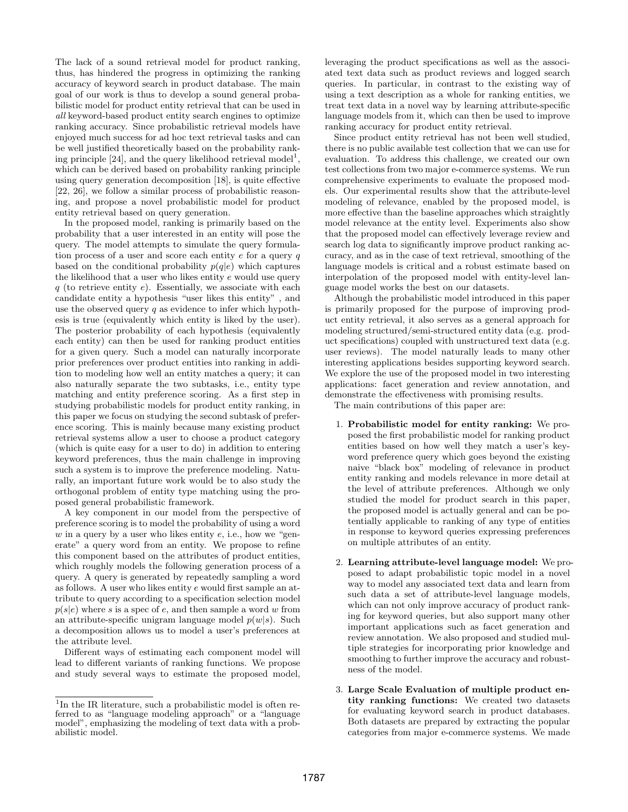The lack of a sound retrieval model for product ranking, thus, has hindered the progress in optimizing the ranking accuracy of keyword search in product database. The main goal of our work is thus to develop a sound general probabilistic model for product entity retrieval that can be used in all keyword-based product entity search engines to optimize ranking accuracy. Since probabilistic retrieval models have enjoyed much success for ad hoc text retrieval tasks and can be well justified theoretically based on the probability ranking principle  $[24]$ , and the query likelihood retrieval model<sup>1</sup>, which can be derived based on probability ranking principle using query generation decomposition [18], is quite effective [22, 26], we follow a similar process of probabilistic reasoning, and propose a novel probabilistic model for product entity retrieval based on query generation.

In the proposed model, ranking is primarily based on the probability that a user interested in an entity will pose the query. The model attempts to simulate the query formulation process of a user and score each entity  $e$  for a query  $q$ based on the conditional probability  $p(q|e)$  which captures the likelihood that a user who likes entity e would use query  $q$  (to retrieve entity  $e$ ). Essentially, we associate with each candidate entity a hypothesis "user likes this entity" , and use the observed query  $q$  as evidence to infer which hypothesis is true (equivalently which entity is liked by the user). The posterior probability of each hypothesis (equivalently each entity) can then be used for ranking product entities for a given query. Such a model can naturally incorporate prior preferences over product entities into ranking in addition to modeling how well an entity matches a query; it can also naturally separate the two subtasks, i.e., entity type matching and entity preference scoring. As a first step in studying probabilistic models for product entity ranking, in this paper we focus on studying the second subtask of preference scoring. This is mainly because many existing product retrieval systems allow a user to choose a product category (which is quite easy for a user to do) in addition to entering keyword preferences, thus the main challenge in improving such a system is to improve the preference modeling. Naturally, an important future work would be to also study the orthogonal problem of entity type matching using the proposed general probabilistic framework.

A key component in our model from the perspective of preference scoring is to model the probability of using a word  $w$  in a query by a user who likes entity  $e$ , i.e., how we "generate" a query word from an entity. We propose to refine this component based on the attributes of product entities, which roughly models the following generation process of a query. A query is generated by repeatedly sampling a word as follows. A user who likes entity e would first sample an attribute to query according to a specification selection model  $p(s|e)$  where s is a spec of e, and then sample a word w from an attribute-specific unigram language model  $p(w|s)$ . Such a decomposition allows us to model a user's preferences at the attribute level.

Different ways of estimating each component model will lead to different variants of ranking functions. We propose and study several ways to estimate the proposed model, leveraging the product specifications as well as the associated text data such as product reviews and logged search queries. In particular, in contrast to the existing way of using a text description as a whole for ranking entities, we treat text data in a novel way by learning attribute-specific language models from it, which can then be used to improve ranking accuracy for product entity retrieval.

Since product entity retrieval has not been well studied, there is no public available test collection that we can use for evaluation. To address this challenge, we created our own test collections from two major e-commerce systems. We run comprehensive experiments to evaluate the proposed models. Our experimental results show that the attribute-level modeling of relevance, enabled by the proposed model, is more effective than the baseline approaches which straightly model relevance at the entity level. Experiments also show that the proposed model can effectively leverage review and search log data to significantly improve product ranking accuracy, and as in the case of text retrieval, smoothing of the language models is critical and a robust estimate based on interpolation of the proposed model with entity-level language model works the best on our datasets.

Although the probabilistic model introduced in this paper is primarily proposed for the purpose of improving product entity retrieval, it also serves as a general approach for modeling structured/semi-structured entity data (e.g. product specifications) coupled with unstructured text data (e.g. user reviews). The model naturally leads to many other interesting applications besides supporting keyword search. We explore the use of the proposed model in two interesting applications: facet generation and review annotation, and demonstrate the effectiveness with promising results.

The main contributions of this paper are:

- 1. Probabilistic model for entity ranking: We proposed the first probabilistic model for ranking product entities based on how well they match a user's keyword preference query which goes beyond the existing naive "black box" modeling of relevance in product entity ranking and models relevance in more detail at the level of attribute preferences. Although we only studied the model for product search in this paper, the proposed model is actually general and can be potentially applicable to ranking of any type of entities in response to keyword queries expressing preferences on multiple attributes of an entity.
- 2. Learning attribute-level language model: We proposed to adapt probabilistic topic model in a novel way to model any associated text data and learn from such data a set of attribute-level language models, which can not only improve accuracy of product ranking for keyword queries, but also support many other important applications such as facet generation and review annotation. We also proposed and studied multiple strategies for incorporating prior knowledge and smoothing to further improve the accuracy and robustness of the model.
- 3. Large Scale Evaluation of multiple product entity ranking functions: We created two datasets for evaluating keyword search in product databases. Both datasets are prepared by extracting the popular categories from major e-commerce systems. We made

<sup>&</sup>lt;sup>1</sup>In the IR literature, such a probabilistic model is often referred to as "language modeling approach" or a "language model", emphasizing the modeling of text data with a probabilistic model.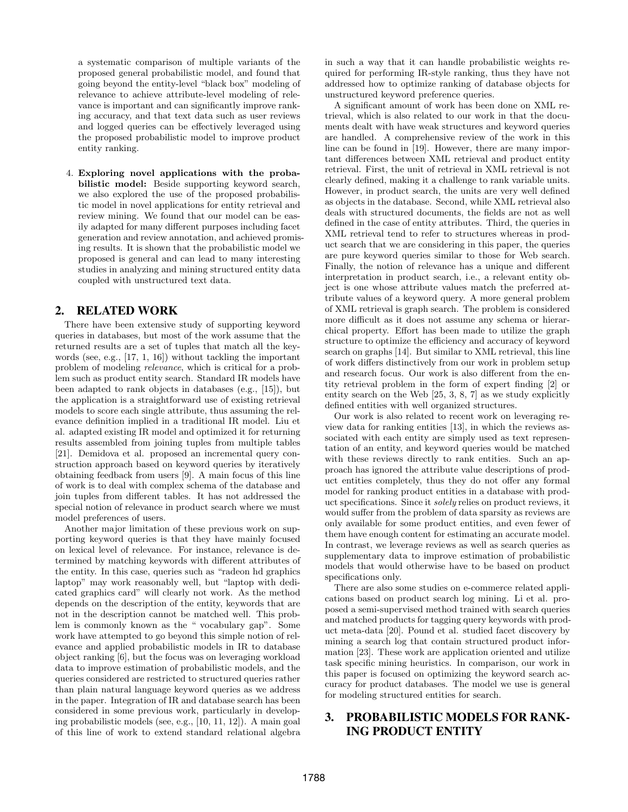a systematic comparison of multiple variants of the proposed general probabilistic model, and found that going beyond the entity-level "black box" modeling of relevance to achieve attribute-level modeling of relevance is important and can significantly improve ranking accuracy, and that text data such as user reviews and logged queries can be effectively leveraged using the proposed probabilistic model to improve product entity ranking.

4. Exploring novel applications with the probabilistic model: Beside supporting keyword search, we also explored the use of the proposed probabilistic model in novel applications for entity retrieval and review mining. We found that our model can be easily adapted for many different purposes including facet generation and review annotation, and achieved promising results. It is shown that the probabilistic model we proposed is general and can lead to many interesting studies in analyzing and mining structured entity data coupled with unstructured text data.

## 2. RELATED WORK

There have been extensive study of supporting keyword queries in databases, but most of the work assume that the returned results are a set of tuples that match all the keywords (see, e.g., [17, 1, 16]) without tackling the important problem of modeling relevance, which is critical for a problem such as product entity search. Standard IR models have been adapted to rank objects in databases (e.g., [15]), but the application is a straightforward use of existing retrieval models to score each single attribute, thus assuming the relevance definition implied in a traditional IR model. Liu et al. adapted existing IR model and optimized it for returning results assembled from joining tuples from multiple tables [21]. Demidova et al. proposed an incremental query construction approach based on keyword queries by iteratively obtaining feedback from users [9]. A main focus of this line of work is to deal with complex schema of the database and join tuples from different tables. It has not addressed the special notion of relevance in product search where we must model preferences of users.

Another major limitation of these previous work on supporting keyword queries is that they have mainly focused on lexical level of relevance. For instance, relevance is determined by matching keywords with different attributes of the entity. In this case, queries such as "radeon hd graphics laptop" may work reasonably well, but "laptop with dedicated graphics card" will clearly not work. As the method depends on the description of the entity, keywords that are not in the description cannot be matched well. This problem is commonly known as the " vocabulary gap". Some work have attempted to go beyond this simple notion of relevance and applied probabilistic models in IR to database object ranking [6], but the focus was on leveraging workload data to improve estimation of probabilistic models, and the queries considered are restricted to structured queries rather than plain natural language keyword queries as we address in the paper. Integration of IR and database search has been considered in some previous work, particularly in developing probabilistic models (see, e.g., [10, 11, 12]). A main goal of this line of work to extend standard relational algebra in such a way that it can handle probabilistic weights required for performing IR-style ranking, thus they have not addressed how to optimize ranking of database objects for unstructured keyword preference queries.

A significant amount of work has been done on XML retrieval, which is also related to our work in that the documents dealt with have weak structures and keyword queries are handled. A comprehensive review of the work in this line can be found in [19]. However, there are many important differences between XML retrieval and product entity retrieval. First, the unit of retrieval in XML retrieval is not clearly defined, making it a challenge to rank variable units. However, in product search, the units are very well defined as objects in the database. Second, while XML retrieval also deals with structured documents, the fields are not as well defined in the case of entity attributes. Third, the queries in XML retrieval tend to refer to structures whereas in product search that we are considering in this paper, the queries are pure keyword queries similar to those for Web search. Finally, the notion of relevance has a unique and different interpretation in product search, i.e., a relevant entity object is one whose attribute values match the preferred attribute values of a keyword query. A more general problem of XML retrieval is graph search. The problem is considered more difficult as it does not assume any schema or hierarchical property. Effort has been made to utilize the graph structure to optimize the efficiency and accuracy of keyword search on graphs [14]. But similar to XML retrieval, this line of work differs distinctively from our work in problem setup and research focus. Our work is also different from the entity retrieval problem in the form of expert finding [2] or entity search on the Web [25, 3, 8, 7] as we study explicitly defined entities with well organized structures.

Our work is also related to recent work on leveraging review data for ranking entities [13], in which the reviews associated with each entity are simply used as text representation of an entity, and keyword queries would be matched with these reviews directly to rank entities. Such an approach has ignored the attribute value descriptions of product entities completely, thus they do not offer any formal model for ranking product entities in a database with product specifications. Since it solely relies on product reviews, it would suffer from the problem of data sparsity as reviews are only available for some product entities, and even fewer of them have enough content for estimating an accurate model. In contrast, we leverage reviews as well as search queries as supplementary data to improve estimation of probabilistic models that would otherwise have to be based on product specifications only.

There are also some studies on e-commerce related applications based on product search log mining. Li et al. proposed a semi-supervised method trained with search queries and matched products for tagging query keywords with product meta-data [20]. Pound et al. studied facet discovery by mining a search log that contain structured product information [23]. These work are application oriented and utilize task specific mining heuristics. In comparison, our work in this paper is focused on optimizing the keyword search accuracy for product databases. The model we use is general for modeling structured entities for search.

# 3. PROBABILISTIC MODELS FOR RANK-ING PRODUCT ENTITY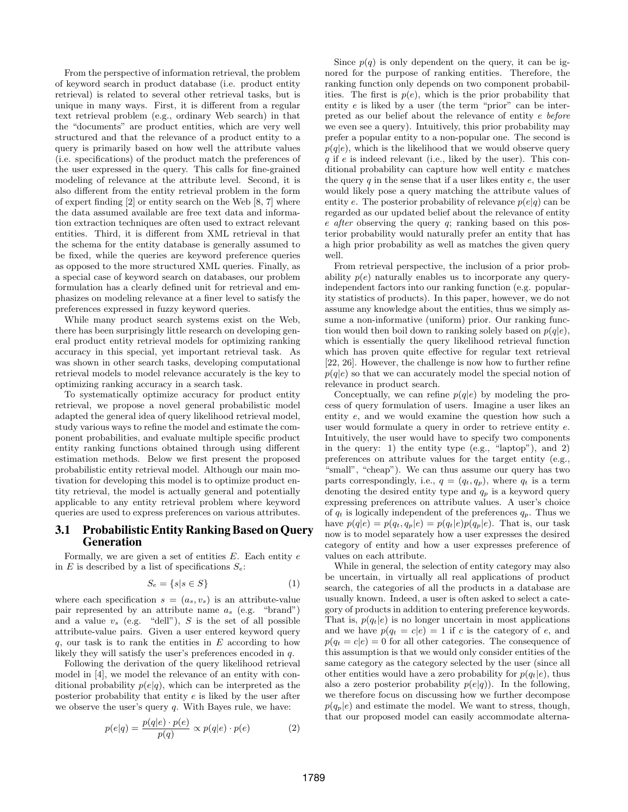From the perspective of information retrieval, the problem of keyword search in product database (i.e. product entity retrieval) is related to several other retrieval tasks, but is unique in many ways. First, it is different from a regular text retrieval problem (e.g., ordinary Web search) in that the "documents" are product entities, which are very well structured and that the relevance of a product entity to a query is primarily based on how well the attribute values (i.e. specifications) of the product match the preferences of the user expressed in the query. This calls for fine-grained modeling of relevance at the attribute level. Second, it is also different from the entity retrieval problem in the form of expert finding [2] or entity search on the Web [8, 7] where the data assumed available are free text data and information extraction techniques are often used to extract relevant entities. Third, it is different from XML retrieval in that the schema for the entity database is generally assumed to be fixed, while the queries are keyword preference queries as opposed to the more structured XML queries. Finally, as a special case of keyword search on databases, our problem formulation has a clearly defined unit for retrieval and emphasizes on modeling relevance at a finer level to satisfy the preferences expressed in fuzzy keyword queries.

While many product search systems exist on the Web, there has been surprisingly little research on developing general product entity retrieval models for optimizing ranking accuracy in this special, yet important retrieval task. As was shown in other search tasks, developing computational retrieval models to model relevance accurately is the key to optimizing ranking accuracy in a search task.

To systematically optimize accuracy for product entity retrieval, we propose a novel general probabilistic model adapted the general idea of query likelihood retrieval model, study various ways to refine the model and estimate the component probabilities, and evaluate multiple specific product entity ranking functions obtained through using different estimation methods. Below we first present the proposed probabilistic entity retrieval model. Although our main motivation for developing this model is to optimize product entity retrieval, the model is actually general and potentially applicable to any entity retrieval problem where keyword queries are used to express preferences on various attributes.

# 3.1 Probabilistic Entity Ranking Based on Query Generation

Formally, we are given a set of entities  $E$ . Each entity  $e$ in E is described by a list of specifications  $S_e$ :

$$
S_e = \{s | s \in S\} \tag{1}
$$

where each specification  $s = (a_s, v_s)$  is an attribute-value pair represented by an attribute name  $a_s$  (e.g. "brand") and a value  $v_s$  (e.g. "dell"),  $S$  is the set of all possible attribute-value pairs. Given a user entered keyword query  $q$ , our task is to rank the entities in  $E$  according to how likely they will satisfy the user's preferences encoded in  $q$ .

Following the derivation of the query likelihood retrieval model in [4], we model the relevance of an entity with conditional probability  $p(e|q)$ , which can be interpreted as the posterior probability that entity e is liked by the user after we observe the user's query  $q$ . With Bayes rule, we have:

$$
p(e|q) = \frac{p(q|e) \cdot p(e)}{p(q)} \propto p(q|e) \cdot p(e) \tag{2}
$$

Since  $p(q)$  is only dependent on the query, it can be ignored for the purpose of ranking entities. Therefore, the ranking function only depends on two component probabilities. The first is  $p(e)$ , which is the prior probability that entity e is liked by a user (the term "prior" can be interpreted as our belief about the relevance of entity e before we even see a query). Intuitively, this prior probability may prefer a popular entity to a non-popular one. The second is  $p(q|e)$ , which is the likelihood that we would observe query  $q$  if e is indeed relevant (i.e., liked by the user). This conditional probability can capture how well entity e matches the query  $q$  in the sense that if a user likes entity  $e$ , the user would likely pose a query matching the attribute values of entity e. The posterior probability of relevance  $p(e|q)$  can be regarded as our updated belief about the relevance of entity  $e$  *after* observing the query  $q$ ; ranking based on this posterior probability would naturally prefer an entity that has a high prior probability as well as matches the given query well.

From retrieval perspective, the inclusion of a prior probability  $p(e)$  naturally enables us to incorporate any queryindependent factors into our ranking function (e.g. popularity statistics of products). In this paper, however, we do not assume any knowledge about the entities, thus we simply assume a non-informative (uniform) prior. Our ranking function would then boil down to ranking solely based on  $p(q|e)$ , which is essentially the query likelihood retrieval function which has proven quite effective for regular text retrieval [22, 26]. However, the challenge is now how to further refine  $p(q|e)$  so that we can accurately model the special notion of relevance in product search.

Conceptually, we can refine  $p(q|e)$  by modeling the process of query formulation of users. Imagine a user likes an entity e, and we would examine the question how such a user would formulate a query in order to retrieve entity e. Intuitively, the user would have to specify two components in the query: 1) the entity type (e.g., "laptop"), and 2) preferences on attribute values for the target entity (e.g., "small", "cheap"). We can thus assume our query has two parts correspondingly, i.e.,  $q = (q_t, q_p)$ , where  $q_t$  is a term denoting the desired entity type and  $q_p$  is a keyword query expressing preferences on attribute values. A user's choice of  $q_t$  is logically independent of the preferences  $q_p$ . Thus we have  $p(q|e) = p(q_t, q_p|e) = p(q_t|e)p(q_p|e)$ . That is, our task now is to model separately how a user expresses the desired category of entity and how a user expresses preference of values on each attribute.

While in general, the selection of entity category may also be uncertain, in virtually all real applications of product search, the categories of all the products in a database are usually known. Indeed, a user is often asked to select a category of products in addition to entering preference keywords. That is,  $p(q_t|e)$  is no longer uncertain in most applications and we have  $p(q_t = c|e) = 1$  if c is the category of e, and  $p(q_t = c|e) = 0$  for all other categories. The consequence of this assumption is that we would only consider entities of the same category as the category selected by the user (since all other entities would have a zero probability for  $p(q_t|e)$ , thus also a zero posterior probability  $p(e|q)$ . In the following, we therefore focus on discussing how we further decompose  $p(q_p|e)$  and estimate the model. We want to stress, though, that our proposed model can easily accommodate alterna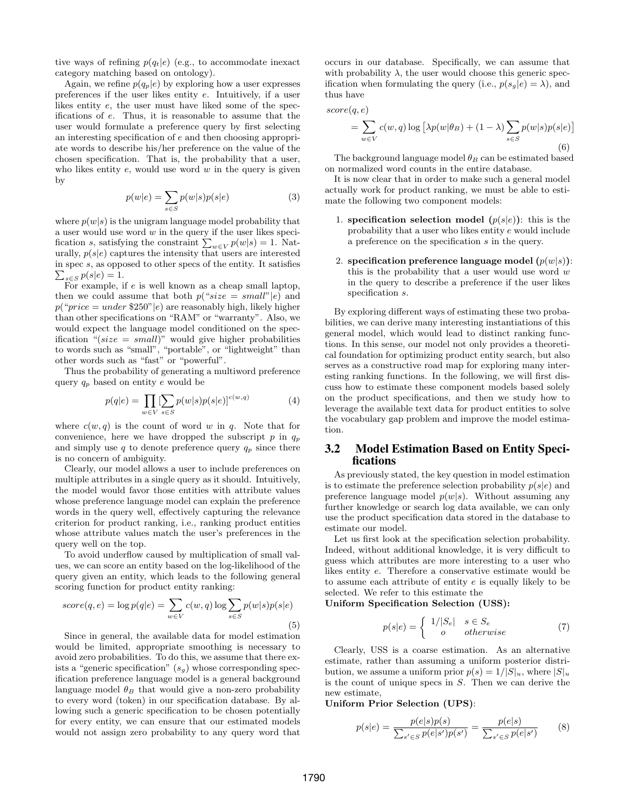tive ways of refining  $p(q_t|e)$  (e.g., to accommodate inexact category matching based on ontology).

Again, we refine  $p(q_p|e)$  by exploring how a user expresses preferences if the user likes entity e. Intuitively, if a user likes entity e, the user must have liked some of the specifications of e. Thus, it is reasonable to assume that the user would formulate a preference query by first selecting an interesting specification of e and then choosing appropriate words to describe his/her preference on the value of the chosen specification. That is, the probability that a user, who likes entity  $e$ , would use word  $w$  in the query is given by

$$
p(w|e) = \sum_{s \in S} p(w|s)p(s|e)
$$
 (3)

where  $p(w|s)$  is the unigram language model probability that a user would use word  $w$  in the query if the user likes specification s, satisfying the constraint  $\sum_{w \in V} p(w|s) = 1$ . Naturally,  $p(s|e)$  captures the intensity that users are interested in spec s, as opposed to other specs of the entity. It satisfies  $\sum_{s \in S} p(s|e) = 1$ .  $s \in S} p(s|e) = 1.$ 

For example, if e is well known as a cheap small laptop, then we could assume that both  $p("size = small" | e)$  and  $p("price = under $250" | e)$  are reasonably high, likely higher than other specifications on "RAM" or "warranty". Also, we would expect the language model conditioned on the specification "(size = small)" would give higher probabilities to words such as "small", "portable", or "lightweight" than other words such as "fast" or "powerful".

Thus the probability of generating a multiword preference query  $q_p$  based on entity e would be

$$
p(q|e) = \prod_{w \in V} \sum_{s \in S} p(w|s) p(s|e)^{c(w,q)} \tag{4}
$$

where  $c(w, q)$  is the count of word w in q. Note that for convenience, here we have dropped the subscript  $p$  in  $q_p$ and simply use  $q$  to denote preference query  $q_p$  since there is no concern of ambiguity.

Clearly, our model allows a user to include preferences on multiple attributes in a single query as it should. Intuitively, the model would favor those entities with attribute values whose preference language model can explain the preference words in the query well, effectively capturing the relevance criterion for product ranking, i.e., ranking product entities whose attribute values match the user's preferences in the query well on the top.

To avoid underflow caused by multiplication of small values, we can score an entity based on the log-likelihood of the query given an entity, which leads to the following general scoring function for product entity ranking:

$$
score(q, e) = \log p(q|e) = \sum_{w \in V} c(w, q) \log \sum_{s \in S} p(w|s) p(s|e)
$$
\n(5)

Since in general, the available data for model estimation would be limited, appropriate smoothing is necessary to avoid zero probabilities. To do this, we assume that there exists a "generic specification"  $(s_g)$  whose corresponding specification preference language model is a general background language model  $\theta_B$  that would give a non-zero probability to every word (token) in our specification database. By allowing such a generic specification to be chosen potentially for every entity, we can ensure that our estimated models would not assign zero probability to any query word that occurs in our database. Specifically, we can assume that with probability  $\lambda$ , the user would choose this generic specification when formulating the query (i.e.,  $p(s_g|e) = \lambda$ ), and thus have

 $score(q, e)$ 

$$
= \sum_{w \in V} c(w, q) \log \left[ \lambda p(w | \theta_B) + (1 - \lambda) \sum_{s \in S} p(w | s) p(s | e) \right]
$$
\n(6)

The background language model  $\theta_B$  can be estimated based on normalized word counts in the entire database.

It is now clear that in order to make such a general model actually work for product ranking, we must be able to estimate the following two component models:

- 1. specification selection model  $(p(s|e))$ : this is the probability that a user who likes entity e would include a preference on the specification s in the query.
- 2. specification preference language model  $(p(w|s))$ : this is the probability that a user would use word  $w$ in the query to describe a preference if the user likes specification  $s$ .

By exploring different ways of estimating these two probabilities, we can derive many interesting instantiations of this general model, which would lead to distinct ranking functions. In this sense, our model not only provides a theoretical foundation for optimizing product entity search, but also serves as a constructive road map for exploring many interesting ranking functions. In the following, we will first discuss how to estimate these component models based solely on the product specifications, and then we study how to leverage the available text data for product entities to solve the vocabulary gap problem and improve the model estimation.

## 3.2 Model Estimation Based on Entity Specifications

As previously stated, the key question in model estimation is to estimate the preference selection probability  $p(s|e)$  and preference language model  $p(w|s)$ . Without assuming any further knowledge or search log data available, we can only use the product specification data stored in the database to estimate our model.

Let us first look at the specification selection probability. Indeed, without additional knowledge, it is very difficult to guess which attributes are more interesting to a user who likes entity e. Therefore a conservative estimate would be to assume each attribute of entity e is equally likely to be selected. We refer to this estimate the

Uniform Specification Selection (USS):

$$
p(s|e) = \begin{cases} 1/|S_e| & s \in S_e \\ o & otherwise \end{cases}
$$
 (7)

Clearly, USS is a coarse estimation. As an alternative estimate, rather than assuming a uniform posterior distribution, we assume a uniform prior  $p(s) = 1/|S|_u$ , where  $|S|_u$ is the count of unique specs in  $S$ . Then we can derive the new estimate,

Uniform Prior Selection (UPS):

$$
p(s|e) = \frac{p(e|s)p(s)}{\sum_{s' \in S} p(e|s')p(s')} = \frac{p(e|s)}{\sum_{s' \in S} p(e|s')} \tag{8}
$$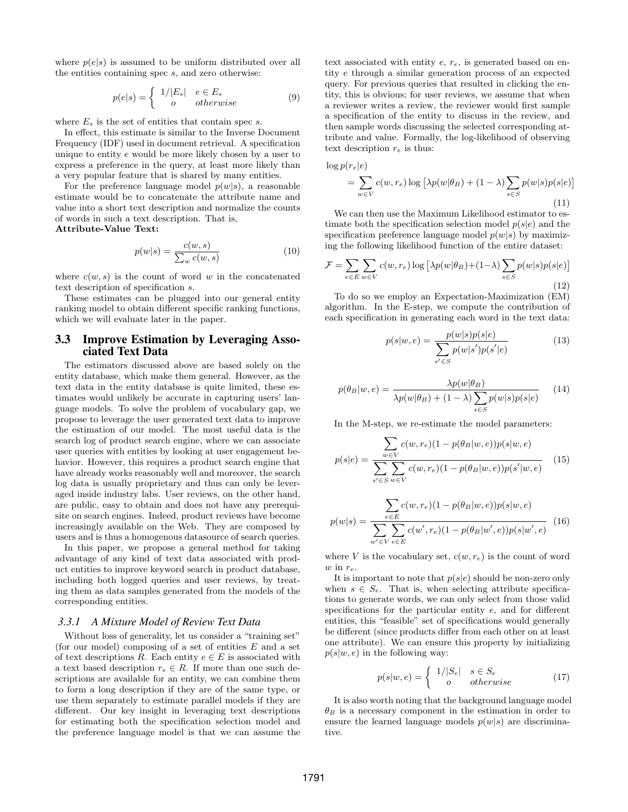where  $p(e|s)$  is assumed to be uniform distributed over all the entities containing spec  $s$ , and zero otherwise:

$$
p(e|s) = \begin{cases} 1/|E_s| & e \in E_s \\ o & otherwise \end{cases}
$$
 (9)

where  $E_s$  is the set of entities that contain spec s.

In effect, this estimate is similar to the Inverse Document Frequency (IDF) used in document retrieval. A specification unique to entity e would be more likely chosen by a user to express a preference in the query, at least more likely than a very popular feature that is shared by many entities.

For the preference language model  $p(w|s)$ , a reasonable estimate would be to concatenate the attribute name and value into a short text description and normalize the counts of words in such a text description. That is,

Attribute-Value Text:

$$
p(w|s) = \frac{c(w,s)}{\sum_{w} c(w,s)}\tag{10}
$$

where  $c(w, s)$  is the count of word w in the concatenated text description of specification s.

These estimates can be plugged into our general entity ranking model to obtain different specific ranking functions, which we will evaluate later in the paper.

## 3.3 Improve Estimation by Leveraging Associated Text Data

The estimators discussed above are based solely on the entity database, which make them general. However, as the text data in the entity database is quite limited, these estimates would unlikely be accurate in capturing users' language models. To solve the problem of vocabulary gap, we propose to leverage the user generated text data to improve the estimation of our model. The most useful data is the search log of product search engine, where we can associate user queries with entities by looking at user engagement behavior. However, this requires a product search engine that have already works reasonably well and moreover, the search log data is usually proprietary and thus can only be leveraged inside industry labs. User reviews, on the other hand, are public, easy to obtain and does not have any prerequisite on search engines. Indeed, product reviews have become increasingly available on the Web. They are composed by users and is thus a homogenous datasource of search queries.

In this paper, we propose a general method for taking advantage of any kind of text data associated with product entities to improve keyword search in product database, including both logged queries and user reviews, by treating them as data samples generated from the models of the corresponding entities.

#### *3.3.1 A Mixture Model of Review Text Data*

Without loss of generality, let us consider a "training set" (for our model) composing of a set of entities  $E$  and a set of text descriptions R. Each entity  $e \in E$  is associated with a text based description  $r_e \in R$ . If more than one such descriptions are available for an entity, we can combine them to form a long description if they are of the same type, or use them separately to estimate parallel models if they are different. Our key insight in leveraging text descriptions for estimating both the specification selection model and the preference language model is that we can assume the text associated with entity  $e, r_e$ , is generated based on entity e through a similar generation process of an expected query. For previous queries that resulted in clicking the entity, this is obvious; for user reviews, we assume that when a reviewer writes a review, the reviewer would first sample a specification of the entity to discuss in the review, and then sample words discussing the selected corresponding attribute and value. Formally, the log-likelihood of observing text description  $r_e$  is thus:

$$
\log p(r_e|e) = \sum_{w \in V} c(w, r_e) \log \left[ \lambda p(w|\theta_B) + (1 - \lambda) \sum_{s \in S} p(w|s) p(s|e) \right]
$$
\n(11)

We can then use the Maximum Likelihood estimator to estimate both the specification selection model  $p(s|e)$  and the specification preference language model  $p(w|s)$  by maximizing the following likelihood function of the entire dataset:

$$
\mathcal{F} = \sum_{e \in E} \sum_{w \in V} c(w, r_e) \log \left[ \lambda p(w|\theta_B) + (1-\lambda) \sum_{s \in S} p(w|s) p(s|e) \right]
$$
\n(12)

To do so we employ an Expectation-Maximization (EM) algorithm. In the E-step, we compute the contribution of each specification in generating each word in the text data:

$$
p(s|w, e) = \frac{p(w|s)p(s|e)}{\sum_{s' \in S} p(w|s')p(s'|e)}
$$
(13)

$$
p(\theta_B|w,e) = \frac{\lambda p(w|\theta_B)}{\lambda p(w|\theta_B) + (1-\lambda)\sum_{s \in S} p(w|s)p(s|e)} \tag{14}
$$

In the M-step, we re-estimate the model parameters:

$$
p(s|e) = \frac{\sum_{w \in V} c(w, r_e)(1 - p(\theta_B|w, e))p(s|w, e)}{\sum_{s' \in S} \sum_{w \in V} c(w, r_e)(1 - p(\theta_B|w, e))p(s'|w, e)}
$$
(15)

$$
p(w|s) = \frac{\sum_{e \in E} c(w, r_e)(1 - p(\theta_B|w, e))p(s|w, e)}{\sum_{w' \in V} \sum_{e \in E} c(w', r_e)(1 - p(\theta_B|w', e))p(s|w', e)}
$$
(16)

where V is the vocabulary set,  $c(w, r_e)$  is the count of word  $w$  in  $r_e$ .

It is important to note that  $p(s|e)$  should be non-zero only when  $s \in S_e$ . That is, when selecting attribute specifications to generate words, we can only select from those valid specifications for the particular entity e, and for different entities, this "feasible" set of specifications would generally be different (since products differ from each other on at least one attribute). We can ensure this property by initializing  $p(s|w, e)$  in the following way:

$$
p(s|w, e) = \begin{cases} 1/|S_e| & s \in S_e \\ o & otherwise \end{cases}
$$
 (17)

It is also worth noting that the background language model  $\theta_B$  is a necessary component in the estimation in order to ensure the learned language models  $p(w|s)$  are discriminative.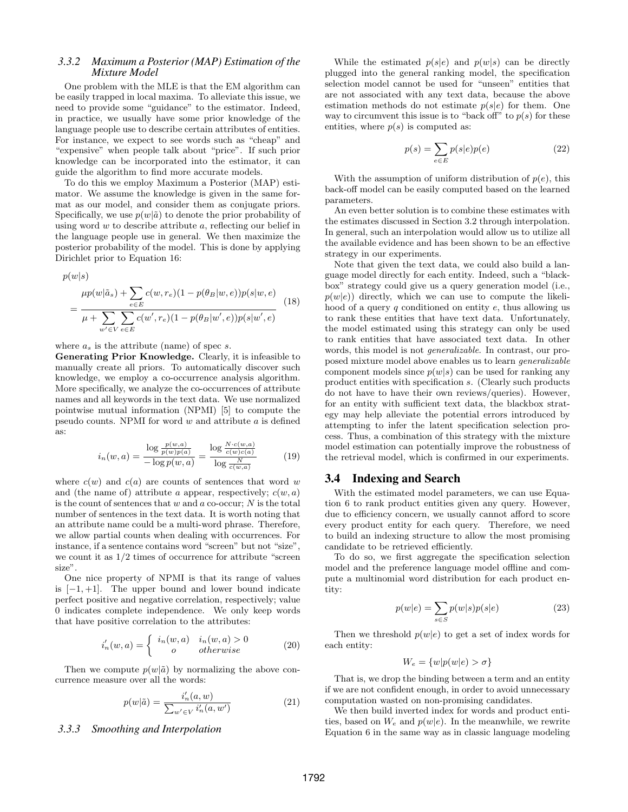#### *3.3.2 Maximum a Posterior (MAP) Estimation of the Mixture Model*

One problem with the MLE is that the EM algorithm can be easily trapped in local maxima. To alleviate this issue, we need to provide some "guidance" to the estimator. Indeed, in practice, we usually have some prior knowledge of the language people use to describe certain attributes of entities. For instance, we expect to see words such as "cheap" and "expensive" when people talk about "price". If such prior knowledge can be incorporated into the estimator, it can guide the algorithm to find more accurate models.

To do this we employ Maximum a Posterior (MAP) estimator. We assume the knowledge is given in the same format as our model, and consider them as conjugate priors. Specifically, we use  $p(w|\tilde{a})$  to denote the prior probability of using word  $w$  to describe attribute  $a$ , reflecting our belief in the language people use in general. We then maximize the posterior probability of the model. This is done by applying Dirichlet prior to Equation 16:

$$
p(w|s)
$$
  
=  $\frac{\mu p(w|\tilde{a}_s) + \sum_{e \in E} c(w, r_e)(1 - p(\theta_B|w, e))p(s|w, e)}{\mu + \sum_{w' \in V} \sum_{e \in E} c(w', r_e)(1 - p(\theta_B|w', e))p(s|w', e)}$  (18)

where  $a_s$  is the attribute (name) of spec s.

Generating Prior Knowledge. Clearly, it is infeasible to manually create all priors. To automatically discover such knowledge, we employ a co-occurrence analysis algorithm. More specifically, we analyze the co-occurrences of attribute names and all keywords in the text data. We use normalized pointwise mutual information (NPMI) [5] to compute the pseudo counts. NPMI for word  $w$  and attribute  $a$  is defined as:

$$
i_n(w, a) = \frac{\log \frac{p(w, a)}{p(w)p(a)}}{-\log p(w, a)} = \frac{\log \frac{N \cdot c(w, a)}{c(w)c(a)}}{\log \frac{N}{c(w, a)}}
$$
(19)

where  $c(w)$  and  $c(a)$  are counts of sentences that word w and (the name of) attribute a appear, respectively;  $c(w, a)$ is the count of sentences that  $w$  and  $a$  co-occur;  $N$  is the total number of sentences in the text data. It is worth noting that an attribute name could be a multi-word phrase. Therefore, we allow partial counts when dealing with occurrences. For instance, if a sentence contains word "screen" but not "size", we count it as  $1/2$  times of occurrence for attribute "screen size".

One nice property of NPMI is that its range of values is  $[-1, +1]$ . The upper bound and lower bound indicate perfect positive and negative correlation, respectively; value 0 indicates complete independence. We only keep words that have positive correlation to the attributes:

$$
i'_n(w, a) = \begin{cases} i_n(w, a) & i_n(w, a) > 0 \\ o & otherwise \end{cases}
$$
 (20)

Then we compute  $p(w|\tilde{a})$  by normalizing the above concurrence measure over all the words:

$$
p(w|\tilde{a}) = \frac{i'_n(a,w)}{\sum_{w' \in V} i'_n(a,w')}
$$
\n
$$
(21)
$$

#### *3.3.3 Smoothing and Interpolation*

While the estimated  $p(s|e)$  and  $p(w|s)$  can be directly plugged into the general ranking model, the specification selection model cannot be used for "unseen" entities that are not associated with any text data, because the above estimation methods do not estimate  $p(s|e)$  for them. One way to circumvent this issue is to "back off" to  $p(s)$  for these entities, where  $p(s)$  is computed as:

$$
p(s) = \sum_{e \in E} p(s|e)p(e) \tag{22}
$$

With the assumption of uniform distribution of  $p(e)$ , this back-off model can be easily computed based on the learned parameters.

An even better solution is to combine these estimates with the estimates discussed in Section 3.2 through interpolation. In general, such an interpolation would allow us to utilize all the available evidence and has been shown to be an effective strategy in our experiments.

Note that given the text data, we could also build a language model directly for each entity. Indeed, such a "blackbox" strategy could give us a query generation model (i.e.,  $p(w|e)$  directly, which we can use to compute the likelihood of a query q conditioned on entity  $e$ , thus allowing us to rank these entities that have text data. Unfortunately, the model estimated using this strategy can only be used to rank entities that have associated text data. In other words, this model is not generalizable. In contrast, our proposed mixture model above enables us to learn generalizable component models since  $p(w|s)$  can be used for ranking any product entities with specification s. (Clearly such products do not have to have their own reviews/queries). However, for an entity with sufficient text data, the blackbox strategy may help alleviate the potential errors introduced by attempting to infer the latent specification selection process. Thus, a combination of this strategy with the mixture model estimation can potentially improve the robustness of the retrieval model, which is confirmed in our experiments.

## 3.4 Indexing and Search

With the estimated model parameters, we can use Equation 6 to rank product entities given any query. However, due to efficiency concern, we usually cannot afford to score every product entity for each query. Therefore, we need to build an indexing structure to allow the most promising candidate to be retrieved efficiently.

To do so, we first aggregate the specification selection model and the preference language model offline and compute a multinomial word distribution for each product entity:

$$
p(w|e) = \sum_{s \in S} p(w|s)p(s|e)
$$
 (23)

Then we threshold  $p(w|e)$  to get a set of index words for each entity:

$$
W_e = \{w|p(w|e) > \sigma\}
$$

That is, we drop the binding between a term and an entity if we are not confident enough, in order to avoid unnecessary computation wasted on non-promising candidates.

We then build inverted index for words and product entities, based on  $W_e$  and  $p(w|e)$ . In the meanwhile, we rewrite Equation 6 in the same way as in classic language modeling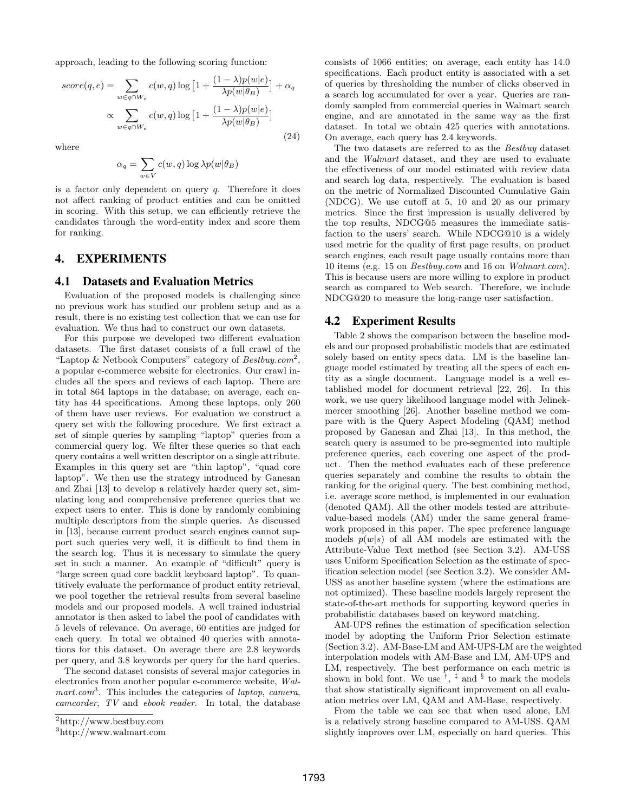approach, leading to the following scoring function:

$$
score(q, e) = \sum_{w \in q \cap W_e} c(w, q) \log \left[ 1 + \frac{(1 - \lambda)p(w|e)}{\lambda p(w|\theta_B)} \right] + \alpha_q
$$

$$
\propto \sum_{w \in q \cap W_e} c(w, q) \log \left[ 1 + \frac{(1 - \lambda)p(w|e)}{\lambda p(w|\theta_B)} \right]
$$
(24)

where

$$
\alpha_q = \sum_{w \in V} c(w, q) \log \lambda p(w | \theta_B)
$$

is a factor only dependent on query  $q$ . Therefore it does not affect ranking of product entities and can be omitted in scoring. With this setup, we can efficiently retrieve the candidates through the word-entity index and score them for ranking.

# 4. EXPERIMENTS

## 4.1 Datasets and Evaluation Metrics

Evaluation of the proposed models is challenging since no previous work has studied our problem setup and as a result, there is no existing test collection that we can use for evaluation. We thus had to construct our own datasets.

For this purpose we developed two different evaluation datasets. The first dataset consists of a full crawl of the "Laptop & Netbook Computers" category of  $Bestbuy.com<sup>2</sup>$ , a popular e-commerce website for electronics. Our crawl includes all the specs and reviews of each laptop. There are in total 864 laptops in the database; on average, each entity has 44 specifications. Among these laptops, only 260 of them have user reviews. For evaluation we construct a query set with the following procedure. We first extract a set of simple queries by sampling "laptop" queries from a commercial query log. We filter these queries so that each query contains a well written descriptor on a single attribute. Examples in this query set are "thin laptop", "quad core laptop". We then use the strategy introduced by Ganesan and Zhai [13] to develop a relatively harder query set, simulating long and comprehensive preference queries that we expect users to enter. This is done by randomly combining multiple descriptors from the simple queries. As discussed in [13], because current product search engines cannot support such queries very well, it is difficult to find them in the search log. Thus it is necessary to simulate the query set in such a manner. An example of "difficult" query is "large screen quad core backlit keyboard laptop". To quantitively evaluate the performance of product entity retrieval, we pool together the retrieval results from several baseline models and our proposed models. A well trained industrial annotator is then asked to label the pool of candidates with 5 levels of relevance. On average, 60 entities are judged for each query. In total we obtained 40 queries with annotations for this dataset. On average there are 2.8 keywords per query, and 3.8 keywords per query for the hard queries.

The second dataset consists of several major categories in electronics from another popular e-commerce website, Walmart.com<sup>3</sup>. This includes the categories of laptop, camera, camcorder, TV and ebook reader. In total, the database consists of 1066 entities; on average, each entity has 14.0 specifications. Each product entity is associated with a set of queries by thresholding the number of clicks observed in a search log accumulated for over a year. Queries are randomly sampled from commercial queries in Walmart search engine, and are annotated in the same way as the first dataset. In total we obtain 425 queries with annotations. On average, each query has 2.4 keywords.

The two datasets are referred to as the Bestbuy dataset and the Walmart dataset, and they are used to evaluate the effectiveness of our model estimated with review data and search log data, respectively. The evaluation is based on the metric of Normalized Discounted Cumulative Gain (NDCG). We use cutoff at 5, 10 and 20 as our primary metrics. Since the first impression is usually delivered by the top results, NDCG@5 measures the immediate satisfaction to the users' search. While NDCG@10 is a widely used metric for the quality of first page results, on product search engines, each result page usually contains more than 10 items (e.g. 15 on Bestbuy.com and 16 on Walmart.com). This is because users are more willing to explore in product search as compared to Web search. Therefore, we include NDCG@20 to measure the long-range user satisfaction.

### 4.2 Experiment Results

Table 2 shows the comparison between the baseline models and our proposed probabilistic models that are estimated solely based on entity specs data. LM is the baseline language model estimated by treating all the specs of each entity as a single document. Language model is a well established model for document retrieval [22, 26]. In this work, we use query likelihood language model with Jelinekmercer smoothing [26]. Another baseline method we compare with is the Query Aspect Modeling (QAM) method proposed by Ganesan and Zhai [13]. In this method, the search query is assumed to be pre-segmented into multiple preference queries, each covering one aspect of the product. Then the method evaluates each of these preference queries separately and combine the results to obtain the ranking for the original query. The best combining method, i.e. average score method, is implemented in our evaluation (denoted QAM). All the other models tested are attributevalue-based models (AM) under the same general framework proposed in this paper. The spec preference language models  $p(w|s)$  of all AM models are estimated with the Attribute-Value Text method (see Section 3.2). AM-USS uses Uniform Specification Selection as the estimate of specification selection model (see Section 3.2). We consider AM-USS as another baseline system (where the estimations are not optimized). These baseline models largely represent the state-of-the-art methods for supporting keyword queries in probabilistic databases based on keyword matching.

AM-UPS refines the estimation of specification selection model by adopting the Uniform Prior Selection estimate (Section 3.2). AM-Base-LM and AM-UPS-LM are the weighted interpolation models with AM-Base and LM, AM-UPS and LM, respectively. The best performance on each metric is shown in bold font. We use  $\dagger$ ,  $\dagger$  and  $\dagger$  to mark the models that show statistically significant improvement on all evaluation metrics over LM, QAM and AM-Base, respectively.

From the table we can see that when used alone, LM is a relatively strong baseline compared to AM-USS. QAM slightly improves over LM, especially on hard queries. This

<sup>2</sup>http://www.bestbuy.com

<sup>3</sup>http://www.walmart.com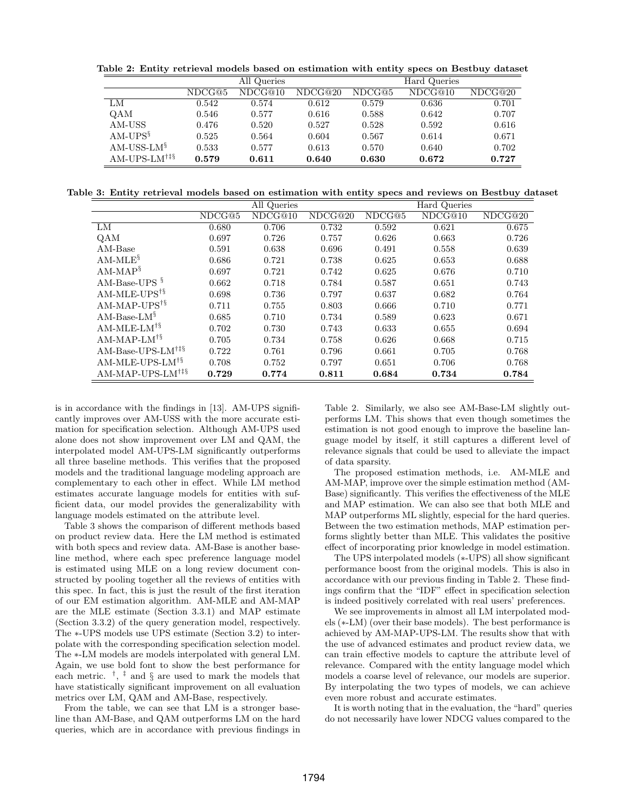Table 2: Entity retrieval models based on estimation with entity specs on Bestbuy dataset

|                                 | All Queries |         | Hard Queries |        |         |         |
|---------------------------------|-------------|---------|--------------|--------|---------|---------|
|                                 | NDCG@5      | NDCG@10 | NDCG@20      | NDCG@5 | NDCG@10 | NDCG@20 |
| LM                              | 0.542       | 0.574   | 0.612        | 0.579  | 0.636   | 0.701   |
| QAM                             | 0.546       | 0.577   | 0.616        | 0.588  | 0.642   | 0.707   |
| AM-USS                          | 0.476       | 0.520   | 0.527        | 0.528  | 0.592   | 0.616   |
| $AM-UPS§$                       | 0.525       | 0.564   | 0.604        | 0.567  | 0.614   | 0.671   |
| $AM-USS-LM^{\S}$                | 0.533       | 0.577   | 0.613        | 0.570  | 0.640   | 0.702   |
| $AM-UPS-LM^{\dagger\ddagger\S}$ | 0.579       | 0.611   | 0.640        | 0.630  | 0.672   | 0.727   |

Table 3: Entity retrieval models based on estimation with entity specs and reviews on Bestbuy dataset

|                                     |        | All Queries |         |        | Hard Queries |         |
|-------------------------------------|--------|-------------|---------|--------|--------------|---------|
|                                     | NDCG@5 | NDCG@10     | NDCG@20 | NDCG@5 | NDCG@10      | NDCG@20 |
| LM                                  | 0.680  | 0.706       | 0.732   | 0.592  | 0.621        | 0.675   |
| QAM                                 | 0.697  | 0.726       | 0.757   | 0.626  | 0.663        | 0.726   |
| $AM-Base$                           | 0.591  | 0.638       | 0.696   | 0.491  | 0.558        | 0.639   |
| $AM-MLE§$                           | 0.686  | 0.721       | 0.738   | 0.625  | 0.653        | 0.688   |
| $AM-MAP§$                           | 0.697  | 0.721       | 0.742   | 0.625  | 0.676        | 0.710   |
| AM-Base-UPS <sup>§</sup>            | 0.662  | 0.718       | 0.784   | 0.587  | 0.651        | 0.743   |
| AM-MLE-UPS <sup>†§</sup>            | 0.698  | 0.736       | 0.797   | 0.637  | 0.682        | 0.764   |
| $AM-MAP-UPS†§$                      | 0.711  | 0.755       | 0.803   | 0.666  | 0.710        | 0.771   |
| $AM-Base-LM§$                       | 0.685  | 0.710       | 0.734   | 0.589  | 0.623        | 0.671   |
| $AM-MLE-LM^{\dagger \S}$            | 0.702  | 0.730       | 0.743   | 0.633  | 0.655        | 0.694   |
| $AM-MAP-LM^{\dagger \S}$            | 0.705  | 0.734       | 0.758   | 0.626  | 0.668        | 0.715   |
| AM-Base-UPS-LM <sup>†‡§</sup>       | 0.722  | 0.761       | 0.796   | 0.661  | 0.705        | 0.768   |
| AM-MLE-UPS-LM <sup>+§</sup>         | 0.708  | 0.752       | 0.797   | 0.651  | 0.706        | 0.768   |
| $AM-MAP-UPS-LM^{\dagger\ddagger\S}$ | 0.729  | 0.774       | 0.811   | 0.684  | 0.734        | 0.784   |

is in accordance with the findings in [13]. AM-UPS significantly improves over AM-USS with the more accurate estimation for specification selection. Although AM-UPS used alone does not show improvement over LM and QAM, the interpolated model AM-UPS-LM significantly outperforms all three baseline methods. This verifies that the proposed models and the traditional language modeling approach are complementary to each other in effect. While LM method estimates accurate language models for entities with sufficient data, our model provides the generalizability with language models estimated on the attribute level.

Table 3 shows the comparison of different methods based on product review data. Here the LM method is estimated with both specs and review data. AM-Base is another baseline method, where each spec preference language model is estimated using MLE on a long review document constructed by pooling together all the reviews of entities with this spec. In fact, this is just the result of the first iteration of our EM estimation algorithm. AM-MLE and AM-MAP are the MLE estimate (Section 3.3.1) and MAP estimate (Section 3.3.2) of the query generation model, respectively. The ∗-UPS models use UPS estimate (Section 3.2) to interpolate with the corresponding specification selection model. The ∗-LM models are models interpolated with general LM. Again, we use bold font to show the best performance for each metric.  $\phi^{\dagger}$ ,  $\phi^{\dagger}$  and § are used to mark the models that have statistically significant improvement on all evaluation metrics over LM, QAM and AM-Base, respectively.

From the table, we can see that LM is a stronger baseline than AM-Base, and QAM outperforms LM on the hard queries, which are in accordance with previous findings in Table 2. Similarly, we also see AM-Base-LM slightly outperforms LM. This shows that even though sometimes the estimation is not good enough to improve the baseline language model by itself, it still captures a different level of relevance signals that could be used to alleviate the impact of data sparsity.

The proposed estimation methods, i.e. AM-MLE and AM-MAP, improve over the simple estimation method (AM-Base) significantly. This verifies the effectiveness of the MLE and MAP estimation. We can also see that both MLE and MAP outperforms ML slightly, especial for the hard queries. Between the two estimation methods, MAP estimation performs slightly better than MLE. This validates the positive effect of incorporating prior knowledge in model estimation.

The UPS interpolated models (∗-UPS) all show significant performance boost from the original models. This is also in accordance with our previous finding in Table 2. These findings confirm that the "IDF" effect in specification selection is indeed positively correlated with real users' preferences.

We see improvements in almost all LM interpolated models (∗-LM) (over their base models). The best performance is achieved by AM-MAP-UPS-LM. The results show that with the use of advanced estimates and product review data, we can train effective models to capture the attribute level of relevance. Compared with the entity language model which models a coarse level of relevance, our models are superior. By interpolating the two types of models, we can achieve even more robust and accurate estimates.

It is worth noting that in the evaluation, the "hard" queries do not necessarily have lower NDCG values compared to the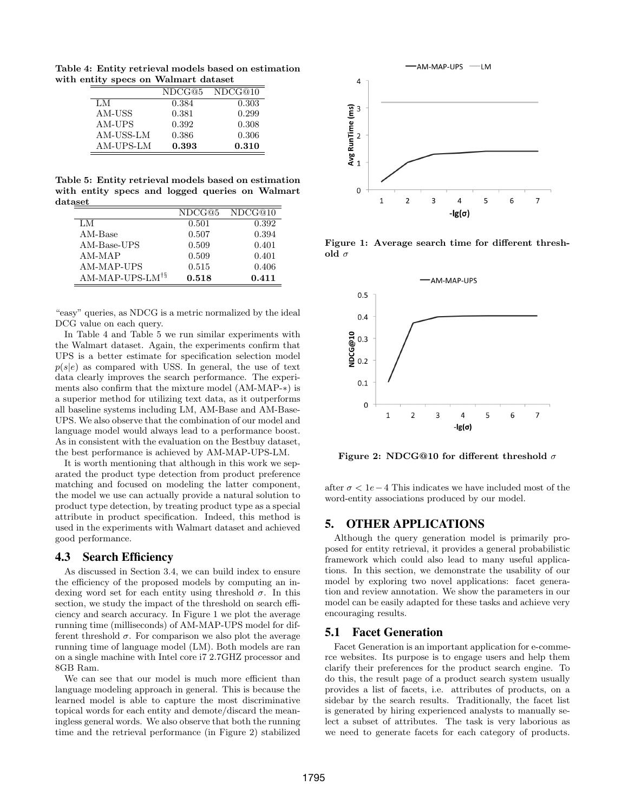Table 4: Entity retrieval models based on estimation with entity specs on Walmart dataset

|           | NDCG@5 | NDCG@10 |
|-----------|--------|---------|
| LM        | 0.384  | 0.303   |
| AM-USS    | 0.381  | 0.299   |
| AM-UPS    | 0.392  | 0.308   |
| AM-USS-LM | 0.386  | 0.306   |
| AM-UPS-LM | 0.393  | 0.310   |

Table 5: Entity retrieval models based on estimation with entity specs and logged queries on Walmart dataset

|                               | NDCG@5 | NDCG@10 |
|-------------------------------|--------|---------|
| LM                            | 0.501  | 0.392   |
| AM-Base                       | 0.507  | 0.394   |
| AM-Base-UPS                   | 0.509  | 0.401   |
| AM-MAP                        | 0.509  | 0.401   |
| AM-MAP-UPS                    | 0.515  | 0.406   |
| $AM-MAP-UPS-LM$ <sup>†§</sup> | 0.518  | 0.411   |

"easy" queries, as NDCG is a metric normalized by the ideal DCG value on each query.

In Table 4 and Table 5 we run similar experiments with the Walmart dataset. Again, the experiments confirm that UPS is a better estimate for specification selection model  $p(s|e)$  as compared with USS. In general, the use of text data clearly improves the search performance. The experiments also confirm that the mixture model (AM-MAP-∗) is a superior method for utilizing text data, as it outperforms all baseline systems including LM, AM-Base and AM-Base-UPS. We also observe that the combination of our model and language model would always lead to a performance boost. As in consistent with the evaluation on the Bestbuy dataset, the best performance is achieved by AM-MAP-UPS-LM.

It is worth mentioning that although in this work we separated the product type detection from product preference matching and focused on modeling the latter component, the model we use can actually provide a natural solution to product type detection, by treating product type as a special attribute in product specification. Indeed, this method is used in the experiments with Walmart dataset and achieved good performance.

## 4.3 Search Efficiency

As discussed in Section 3.4, we can build index to ensure the efficiency of the proposed models by computing an indexing word set for each entity using threshold  $\sigma$ . In this section, we study the impact of the threshold on search efficiency and search accuracy. In Figure 1 we plot the average running time (milliseconds) of AM-MAP-UPS model for different threshold  $\sigma$ . For comparison we also plot the average running time of language model (LM). Both models are ran on a single machine with Intel core i7 2.7GHZ processor and 8GB Ram.

We can see that our model is much more efficient than language modeling approach in general. This is because the learned model is able to capture the most discriminative topical words for each entity and demote/discard the meaningless general words. We also observe that both the running time and the retrieval performance (in Figure 2) stabilized



Figure 1: Average search time for different threshold  $\sigma$ 



Figure 2: NDCG@10 for different threshold  $\sigma$ 

after  $\sigma < 1e-4$  This indicates we have included most of the word-entity associations produced by our model.

# 5. OTHER APPLICATIONS

Although the query generation model is primarily proposed for entity retrieval, it provides a general probabilistic framework which could also lead to many useful applications. In this section, we demonstrate the usability of our model by exploring two novel applications: facet generation and review annotation. We show the parameters in our model can be easily adapted for these tasks and achieve very encouraging results.

## 5.1 Facet Generation

Facet Generation is an important application for e-commerce websites. Its purpose is to engage users and help them clarify their preferences for the product search engine. To do this, the result page of a product search system usually provides a list of facets, i.e. attributes of products, on a sidebar by the search results. Traditionally, the facet list is generated by hiring experienced analysts to manually select a subset of attributes. The task is very laborious as we need to generate facets for each category of products.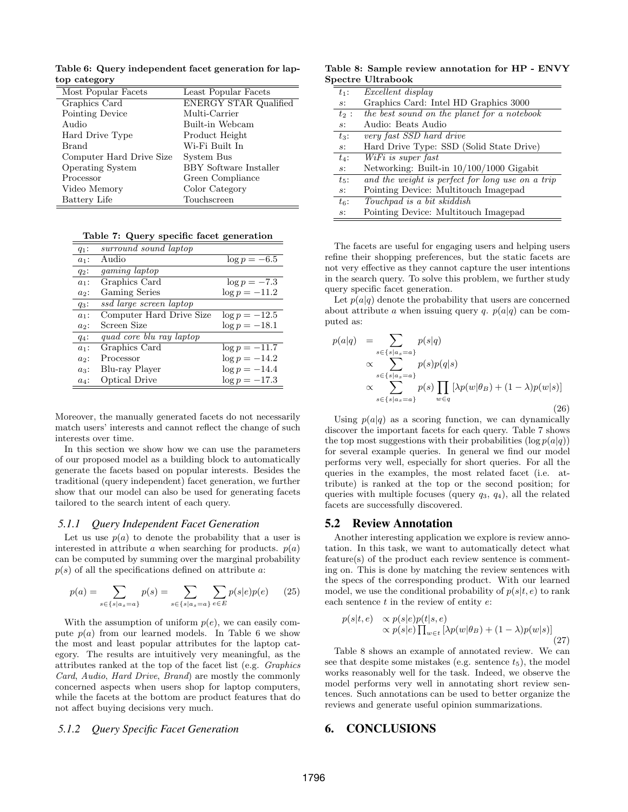Table 6: Query independent facet generation for laptop category

| Most Popular Facets      | Least Popular Facets          |
|--------------------------|-------------------------------|
| Graphics Card            | <b>ENERGY STAR Qualified</b>  |
| Pointing Device          | Multi-Carrier                 |
| Audio                    | Built-in Webcam               |
| Hard Drive Type          | Product Height                |
| Brand                    | Wi-Fi Built In                |
| Computer Hard Drive Size | System Bus                    |
| <b>Operating System</b>  | <b>BBY</b> Software Installer |
| Processor                | Green Compliance              |
| Video Memory             | Color Category                |
| Battery Life             | Touchscreen                   |

Table 7: Query specific facet generation

| $q_1$ : | surround sound laptop    |                  |
|---------|--------------------------|------------------|
| $a_1$ : | Audio                    | $\log p = -6.5$  |
| $q_2$ : | <i>gaming laptop</i>     |                  |
| $a_1$ : | Graphics Card            | $\log p = -7.3$  |
| $a_2$ : | Gaming Series            | $\log p = -11.2$ |
| $q_3$ : | ssd large screen laptop  |                  |
| $a_1$ : | Computer Hard Drive Size | $\log p = -12.5$ |
| $a_2$ : | Screen Size              | $\log p = -18.1$ |
| $q_4$ : | quad core blu ray laptop |                  |
| $a_1$ : | Graphics Card            | $\log p = -11.7$ |
| $a_2$ : | Processor                | $\log p = -14.2$ |
| $a_3$ : | Blu-ray Player           | $\log p = -14.4$ |
| $a_4$ : | Optical Drive            | $\log p = -17.3$ |

Moreover, the manually generated facets do not necessarily match users' interests and cannot reflect the change of such interests over time.

In this section we show how we can use the parameters of our proposed model as a building block to automatically generate the facets based on popular interests. Besides the traditional (query independent) facet generation, we further show that our model can also be used for generating facets tailored to the search intent of each query.

#### *5.1.1 Query Independent Facet Generation*

Let us use  $p(a)$  to denote the probability that a user is interested in attribute a when searching for products.  $p(a)$ can be computed by summing over the marginal probability  $p(s)$  of all the specifications defined on attribute a:

$$
p(a) = \sum_{s \in \{s | a_s = a\}} p(s) = \sum_{s \in \{s | a_s = a\}} \sum_{e \in E} p(s|e)p(e) \tag{25}
$$

With the assumption of uniform  $p(e)$ , we can easily compute  $p(a)$  from our learned models. In Table 6 we show the most and least popular attributes for the laptop category. The results are intuitively very meaningful, as the attributes ranked at the top of the facet list (e.g. Graphics Card, Audio, Hard Drive, Brand) are mostly the commonly concerned aspects when users shop for laptop computers, while the facets at the bottom are product features that do not affect buying decisions very much.

#### *5.1.2 Query Specific Facet Generation*

Table 8: Sample review annotation for HP - ENVY Spectre Ultrabook

| $t_1$ :   | Excellent display                                |
|-----------|--------------------------------------------------|
| $s$ :     | Graphics Card: Intel HD Graphics 3000            |
| $t_2$ :   | the best sound on the planet for a notebook      |
| $s$ :     | Audio: Beats Audio                               |
| $t_3$ :   | very fast SSD hard drive                         |
| $s$ :     | Hard Drive Type: SSD (Solid State Drive)         |
| $t_4$ :   | $WiFi$ is super fast                             |
| $s$ :     | Networking: Built-in 10/100/1000 Gigabit         |
| $t_{5}$ : | and the weight is perfect for long use on a trip |
| $s$ :     | Pointing Device: Multitouch Imagepad             |
| $t_6$ :   | Touchpad is a bit skiddish                       |
| $s$ :     | Pointing Device: Multitouch Imagepad             |
|           |                                                  |

The facets are useful for engaging users and helping users refine their shopping preferences, but the static facets are not very effective as they cannot capture the user intentions in the search query. To solve this problem, we further study query specific facet generation.

Let  $p(a|q)$  denote the probability that users are concerned about attribute a when issuing query q.  $p(a|q)$  can be computed as:

$$
p(a|q) = \sum_{s \in \{s | a_s = a\}} p(s|q)
$$
  
\n
$$
\propto \sum_{s \in \{s | a_s = a\}} p(s)p(q|s)
$$
  
\n
$$
\propto \sum_{s \in \{s | a_s = a\}} p(s) \prod_{w \in q} [\lambda p(w|\theta_B) + (1 - \lambda)p(w|s)]
$$
\n(26)

Using  $p(a|q)$  as a scoring function, we can dynamically discover the important facets for each query. Table 7 shows the top most suggestions with their probabilities  $(\log p(a|q))$ for several example queries. In general we find our model performs very well, especially for short queries. For all the queries in the examples, the most related facet (i.e. attribute) is ranked at the top or the second position; for queries with multiple focuses (query  $q_3$ ,  $q_4$ ), all the related facets are successfully discovered.

## 5.2 Review Annotation

Another interesting application we explore is review annotation. In this task, we want to automatically detect what feature(s) of the product each review sentence is commenting on. This is done by matching the review sentences with the specs of the corresponding product. With our learned model, we use the conditional probability of  $p(s|t, e)$  to rank each sentence  $t$  in the review of entity  $e$ :

$$
p(s|t, e) \propto p(s|e)p(t|s, e)
$$
  
 
$$
\propto p(s|e) \prod_{w \in t} \left[ \lambda p(w|\theta_B) + (1 - \lambda)p(w|s) \right]
$$
 (27)

Table 8 shows an example of annotated review. We can see that despite some mistakes (e.g. sentence  $t_5$ ), the model works reasonably well for the task. Indeed, we observe the model performs very well in annotating short review sentences. Such annotations can be used to better organize the reviews and generate useful opinion summarizations.

## 6. CONCLUSIONS